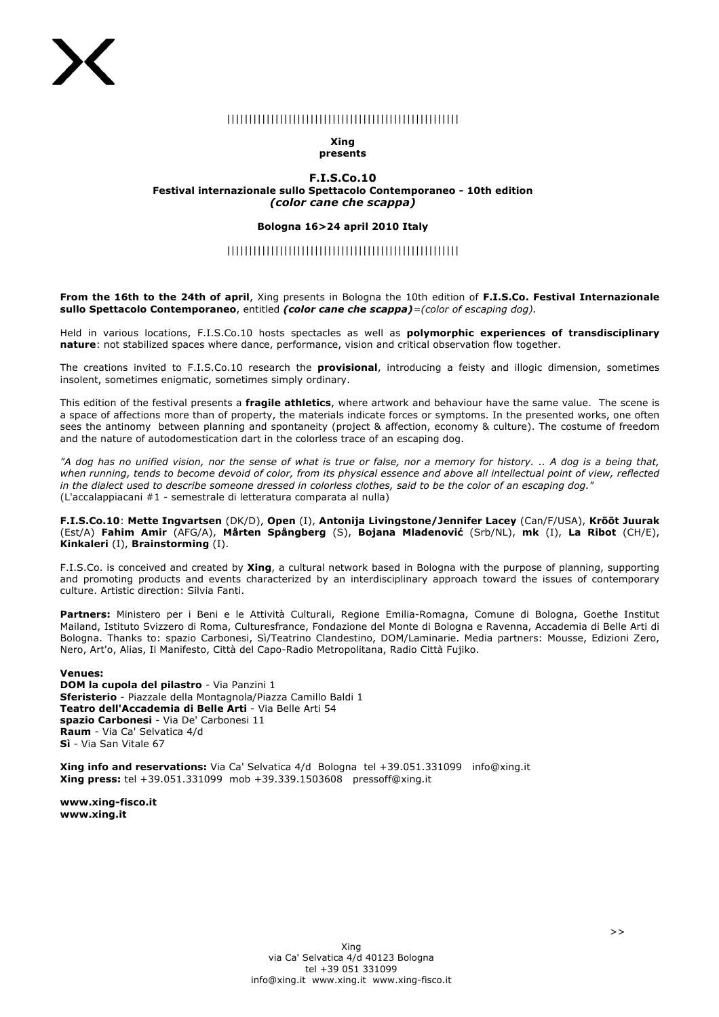# |||||||||||||||||||||||||||||||||||||||||||||||||||||

### **Xing presents**

### **F.I.S.Co.10 Festival internazionale sullo Spettacolo Contemporaneo - 10th edition** *(color cane che scappa)*

### **Bologna 16>24 april 2010 Italy**

## |||||||||||||||||||||||||||||||||||||||||||||||||||||

**From the 16th to the 24th of april**, Xing presents in Bologna the 10th edition of **F.I.S.Co. Festival Internazionale sullo Spettacolo Contemporaneo**, entitled *(color cane che scappa)=(color of escaping dog).* 

Held in various locations, F.I.S.Co.10 hosts spectacles as well as **polymorphic experiences of transdisciplinary nature**: not stabilized spaces where dance, performance, vision and critical observation flow together.

The creations invited to F.I.S.Co.10 research the **provisional**, introducing a feisty and illogic dimension, sometimes insolent, sometimes enigmatic, sometimes simply ordinary.

This edition of the festival presents a **fragile athletics**, where artwork and behaviour have the same value. The scene is a space of affections more than of property, the materials indicate forces or symptoms. In the presented works, one often sees the antinomy between planning and spontaneity (project & affection, economy & culture). The costume of freedom and the nature of autodomestication dart in the colorless trace of an escaping dog.

*"A dog has no unified vision, nor the sense of what is true or false, nor a memory for history. .. A dog is a being that, when running, tends to become devoid of color, from its physical essence and above all intellectual point of view, reflected in the dialect used to describe someone dressed in colorless clothes, said to be the color of an escaping dog."* (L'accalappiacani #1 - semestrale di letteratura comparata al nulla)

**F.I.S.Co.10**: **Mette Ingvartsen** (DK/D), **Open** (I), **Antonija Livingstone/Jennifer Lacey** (Can/F/USA), **Krõõt Juurak** (Est/A) **Fahim Amir** (AFG/A), **Mårten Spångberg** (S), **Bojana Mladenović** (Srb/NL), **mk** (I), **La Ribot** (CH/E), **Kinkaleri** (I), **Brainstorming** (I).

F.I.S.Co. is conceived and created by **Xing**, a cultural network based in Bologna with the purpose of planning, supporting and promoting products and events characterized by an interdisciplinary approach toward the issues of contemporary culture. Artistic direction: Silvia Fanti.

**Partners:** Ministero per i Beni e le Attività Culturali, Regione Emilia-Romagna, Comune di Bologna, Goethe Institut Mailand, Istituto Svizzero di Roma, Culturesfrance, Fondazione del Monte di Bologna e Ravenna, Accademia di Belle Arti di Bologna. Thanks to: spazio Carbonesi, Sì/Teatrino Clandestino, DOM/Laminarie. Media partners: Mousse, Edizioni Zero, Nero, Art'o, Alias, Il Manifesto, Città del Capo-Radio Metropolitana, Radio Città Fujiko.

### **Venues:**

**DOM la cupola del pilastro** - Via Panzini 1 **Sferisterio** - Piazzale della Montagnola/Piazza Camillo Baldi 1 **Teatro dell'Accademia di Belle Arti** - Via Belle Arti 54 **spazio Carbonesi** - Via De' Carbonesi 11 **Raum** - Via Ca' Selvatica 4/d **Sì** - Via San Vitale 67

**Xing info and reservations:** Via Ca' Selvatica 4/d Bologna tel +39.051.331099 info@xing.it **Xing press:** tel +39.051.331099 mob +39.339.1503608 pressoff@xing.it

**www.xing-fisco.it www.xing.it**